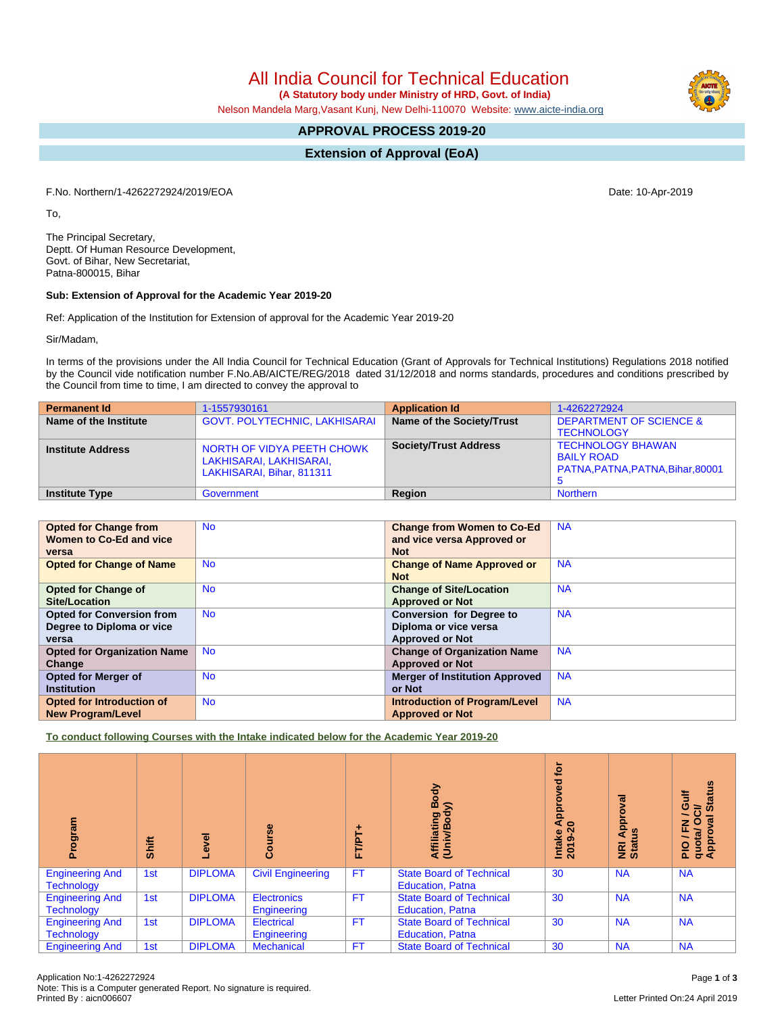# All India Council for Technical Education

 **(A Statutory body under Ministry of HRD, Govt. of India)**

Nelson Mandela Marg,Vasant Kunj, New Delhi-110070 Website: [www.aicte-india.org](http://www.aicte-india.org)

# **APPROVAL PROCESS 2019-20**

**Extension of Approval (EoA)**

F.No. Northern/1-4262272924/2019/EOA Date: 10-Apr-2019

To,

The Principal Secretary, Deptt. Of Human Resource Development, Govt. of Bihar, New Secretariat, Patna-800015, Bihar

#### **Sub: Extension of Approval for the Academic Year 2019-20**

Ref: Application of the Institution for Extension of approval for the Academic Year 2019-20

Sir/Madam,

In terms of the provisions under the All India Council for Technical Education (Grant of Approvals for Technical Institutions) Regulations 2018 notified by the Council vide notification number F.No.AB/AICTE/REG/2018 dated 31/12/2018 and norms standards, procedures and conditions prescribed by the Council from time to time, I am directed to convey the approval to

| <b>Permanent Id</b>      | 1-1557930161                                                                       | <b>Application Id</b>        | 1-4262272924                                                                       |
|--------------------------|------------------------------------------------------------------------------------|------------------------------|------------------------------------------------------------------------------------|
| Name of the Institute    | <b>GOVT. POLYTECHNIC, LAKHISARAI</b>                                               | Name of the Society/Trust    | <b>DEPARTMENT OF SCIENCE &amp;</b><br><b>TECHNOLOGY</b>                            |
| <b>Institute Address</b> | NORTH OF VIDYA PEETH CHOWK<br>LAKHISARAI, LAKHISARAI,<br>LAKHISARAI, Bihar, 811311 | <b>Society/Trust Address</b> | <b>TECHNOLOGY BHAWAN</b><br><b>BAILY ROAD</b><br>PATNA, PATNA, PATNA, Bihar, 80001 |
| <b>Institute Type</b>    | Government                                                                         | Region                       | <b>Northern</b>                                                                    |

| <b>Opted for Change from</b>       | <b>No</b> | <b>Change from Women to Co-Ed</b>     | <b>NA</b> |
|------------------------------------|-----------|---------------------------------------|-----------|
| Women to Co-Ed and vice            |           | and vice versa Approved or            |           |
| versa                              |           | <b>Not</b>                            |           |
| <b>Opted for Change of Name</b>    | <b>No</b> | <b>Change of Name Approved or</b>     | <b>NA</b> |
|                                    |           | <b>Not</b>                            |           |
| <b>Opted for Change of</b>         | <b>No</b> | <b>Change of Site/Location</b>        | <b>NA</b> |
| Site/Location                      |           | <b>Approved or Not</b>                |           |
| <b>Opted for Conversion from</b>   | <b>No</b> | <b>Conversion for Degree to</b>       | <b>NA</b> |
| Degree to Diploma or vice          |           | Diploma or vice versa                 |           |
| versa                              |           | <b>Approved or Not</b>                |           |
| <b>Opted for Organization Name</b> | <b>No</b> | <b>Change of Organization Name</b>    | <b>NA</b> |
| Change                             |           | <b>Approved or Not</b>                |           |
| <b>Opted for Merger of</b>         | <b>No</b> | <b>Merger of Institution Approved</b> | <b>NA</b> |
| <b>Institution</b>                 |           | or Not                                |           |
| Opted for Introduction of          | <b>No</b> | <b>Introduction of Program/Level</b>  | <b>NA</b> |
| <b>New Program/Level</b>           |           | <b>Approved or Not</b>                |           |

**To conduct following Courses with the Intake indicated below for the Academic Year 2019-20**

| rogram<br>ō.                                | Shift | g<br>်စု       | Course                            | FT/PT+    | Body<br>⋦<br>Affiliating<br>(Univ/Bod <sub>)</sub>         | <b>b</b><br><b>P</b><br>Ö<br><b>Appr</b><br>2019-20 | <b>IEAO</b><br>Appro<br>$\frac{6}{2}$<br>NRI<br>Statu | <b>Status</b><br>₹<br>ဖ<br>ಕ<br>$\overline{\phantom{0}}$<br>œ<br>$\circ$<br>z<br>J / Fl<br>quota/<br>Approv |
|---------------------------------------------|-------|----------------|-----------------------------------|-----------|------------------------------------------------------------|-----------------------------------------------------|-------------------------------------------------------|-------------------------------------------------------------------------------------------------------------|
| <b>Engineering And</b><br><b>Technology</b> | 1st   | <b>DIPLOMA</b> | <b>Civil Engineering</b>          | <b>FT</b> | <b>State Board of Technical</b><br><b>Education, Patna</b> | 30                                                  | <b>NA</b>                                             | <b>NA</b>                                                                                                   |
| <b>Engineering And</b><br><b>Technology</b> | 1st   | <b>DIPLOMA</b> | <b>Electronics</b><br>Engineering | <b>FT</b> | <b>State Board of Technical</b><br><b>Education, Patna</b> | 30                                                  | <b>NA</b>                                             | <b>NA</b>                                                                                                   |
| <b>Engineering And</b><br><b>Technology</b> | 1st   | <b>DIPLOMA</b> | <b>Electrical</b><br>Engineering  | <b>FT</b> | <b>State Board of Technical</b><br><b>Education, Patna</b> | 30                                                  | <b>NA</b>                                             | <b>NA</b>                                                                                                   |
| <b>Engineering And</b>                      | 1st   | <b>DIPLOMA</b> | <b>Mechanical</b>                 | FT        | <b>State Board of Technical</b>                            | 30                                                  | <b>NA</b>                                             | <b>NA</b>                                                                                                   |

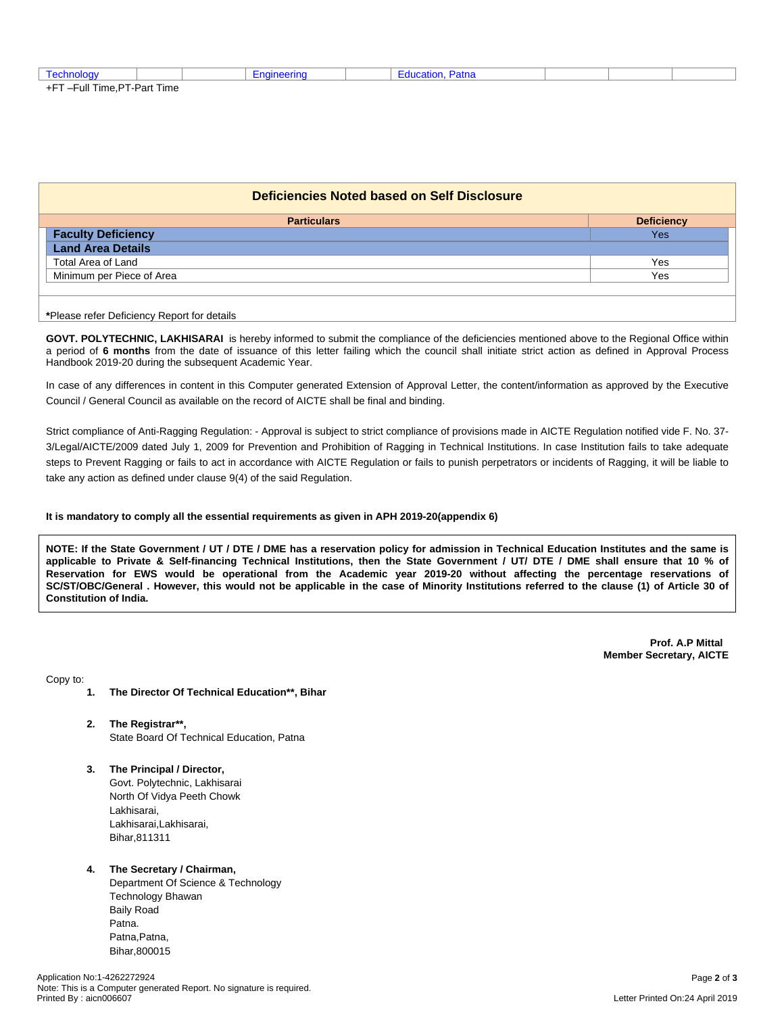| ་་ –Full Time.⊢ . | PT-Part Time |  |  |  |  |
|-------------------|--------------|--|--|--|--|

| Deficiencies Noted based on Self Disclosure |     |  |  |  |  |  |
|---------------------------------------------|-----|--|--|--|--|--|
| <b>Particulars</b><br><b>Deficiency</b>     |     |  |  |  |  |  |
| <b>Faculty Deficiency</b>                   | Yes |  |  |  |  |  |
| <b>Land Area Details</b>                    |     |  |  |  |  |  |
| Total Area of Land                          | Yes |  |  |  |  |  |
| Minimum per Piece of Area                   | Yes |  |  |  |  |  |
|                                             |     |  |  |  |  |  |

**\***Please refer Deficiency Report for details

**GOVT. POLYTECHNIC, LAKHISARAI** is hereby informed to submit the compliance of the deficiencies mentioned above to the Regional Office within a period of **6 months** from the date of issuance of this letter failing which the council shall initiate strict action as defined in Approval Process Handbook 2019-20 during the subsequent Academic Year.

In case of any differences in content in this Computer generated Extension of Approval Letter, the content/information as approved by the Executive Council / General Council as available on the record of AICTE shall be final and binding.

Strict compliance of Anti-Ragging Regulation: - Approval is subject to strict compliance of provisions made in AICTE Regulation notified vide F. No. 37- 3/Legal/AICTE/2009 dated July 1, 2009 for Prevention and Prohibition of Ragging in Technical Institutions. In case Institution fails to take adequate steps to Prevent Ragging or fails to act in accordance with AICTE Regulation or fails to punish perpetrators or incidents of Ragging, it will be liable to take any action as defined under clause 9(4) of the said Regulation.

#### **It is mandatory to comply all the essential requirements as given in APH 2019-20(appendix 6)**

NOTE: If the State Government / UT / DTE / DME has a reservation policy for admission in Technical Education Institutes and the same is applicable to Private & Self-financing Technical Institutions, then the State Government / UT/ DTE / DME shall ensure that 10 % of Reservation for EWS would be operational from the Academic year 2019-20 without affecting the percentage reservations of SC/ST/OBC/General . However, this would not be applicable in the case of Minority Institutions referred to the clause (1) of Article 30 of **Constitution of India.**

> **Prof. A.P Mittal Member Secretary, AICTE**

Copy to:

- **1. The Director Of Technical Education\*\*, Bihar**
- **2. The Registrar\*\*,** State Board Of Technical Education, Patna
- **3. The Principal / Director,** Govt. Polytechnic, Lakhisarai North Of Vidya Peeth Chowk Lakhisarai, Lakhisarai,Lakhisarai, Bihar,811311

#### **4. The Secretary / Chairman,** Department Of Science & Technology Technology Bhawan Baily Road Patna. Patna, Patna,

Bihar,800015